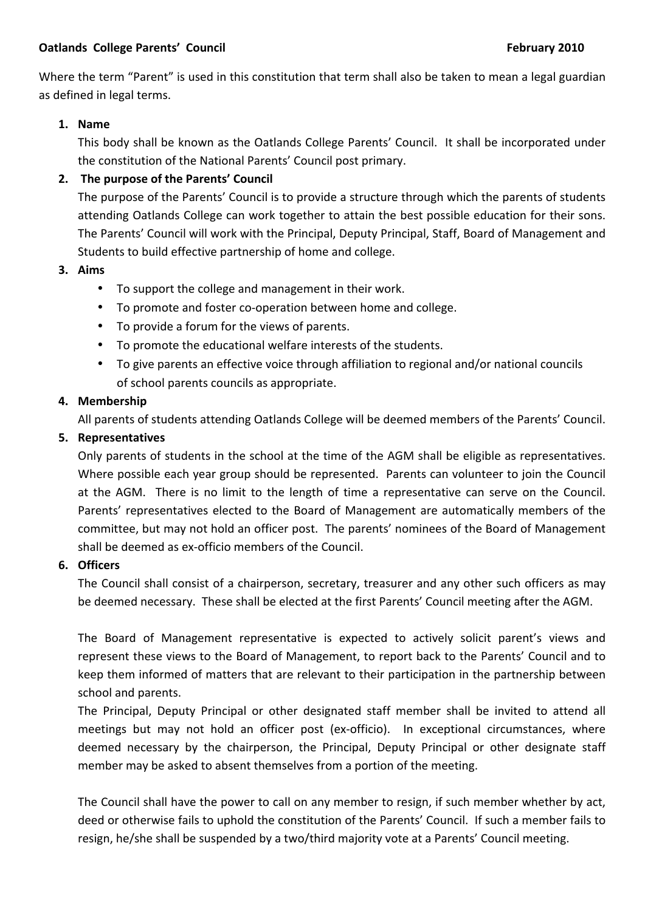Where the term "Parent" is used in this constitution that term shall also be taken to mean a legal guardian as defined in legal terms.

## **1. Name**

This body shall be known as the Oatlands College Parents' Council. It shall be incorporated under the constitution of the National Parents' Council post primary.

# **2.** The purpose of the Parents' Council

The purpose of the Parents' Council is to provide a structure through which the parents of students attending Oatlands College can work together to attain the best possible education for their sons. The Parents' Council will work with the Principal, Deputy Principal, Staff, Board of Management and Students to build effective partnership of home and college.

## **3. Aims**

- To support the college and management in their work.
- To promote and foster co-operation between home and college.
- To provide a forum for the views of parents.
- To promote the educational welfare interests of the students.
- To give parents an effective voice through affiliation to regional and/or national councils of school parents councils as appropriate.

### **4. Membership**

All parents of students attending Oatlands College will be deemed members of the Parents' Council.

## **5. Representatives**

Only parents of students in the school at the time of the AGM shall be eligible as representatives. Where possible each year group should be represented. Parents can volunteer to join the Council at the AGM. There is no limit to the length of time a representative can serve on the Council. Parents' representatives elected to the Board of Management are automatically members of the committee, but may not hold an officer post. The parents' nominees of the Board of Management shall be deemed as ex-officio members of the Council.

#### **6. Officers**

The Council shall consist of a chairperson, secretary, treasurer and any other such officers as may be deemed necessary. These shall be elected at the first Parents' Council meeting after the AGM.

The Board of Management representative is expected to actively solicit parent's views and represent these views to the Board of Management, to report back to the Parents' Council and to keep them informed of matters that are relevant to their participation in the partnership between school and parents.

The Principal, Deputy Principal or other designated staff member shall be invited to attend all meetings but may not hold an officer post (ex-officio). In exceptional circumstances, where deemed necessary by the chairperson, the Principal, Deputy Principal or other designate staff member may be asked to absent themselves from a portion of the meeting.

The Council shall have the power to call on any member to resign, if such member whether by act, deed or otherwise fails to uphold the constitution of the Parents' Council. If such a member fails to resign, he/she shall be suspended by a two/third majority vote at a Parents' Council meeting.